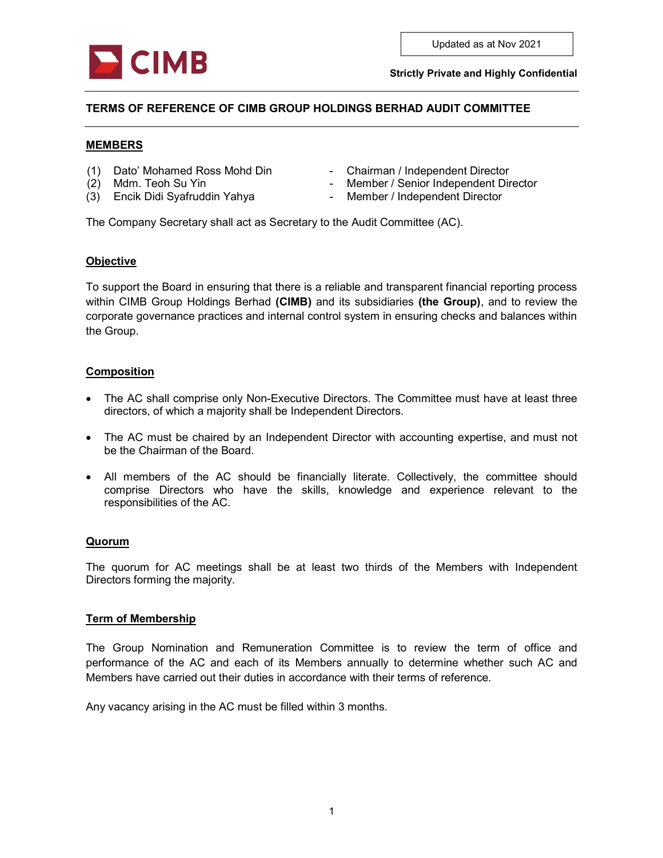

# TERMS OF REFERENCE OF CIMB GROUP HOLDINGS BERHAD AUDIT COMMITTEE

#### MEMBERS

- (1) Dato' Mohamed Ross Mohd Din Chairman / Independent Director
- 
- 
- 
- (2) Mdm. Teoh Su Yin  **Member / Senior Independent Director**
- (3) Encik Didi Syafruddin Yahya Member / Independent Director

The Company Secretary shall act as Secretary to the Audit Committee (AC).

#### **Objective**

To support the Board in ensuring that there is a reliable and transparent financial reporting process within CIMB Group Holdings Berhad (CIMB) and its subsidiaries (the Group), and to review the corporate governance practices and internal control system in ensuring checks and balances within the Group.

### Composition

- The AC shall comprise only Non-Executive Directors. The Committee must have at least three directors, of which a majority shall be Independent Directors.
- The AC must be chaired by an Independent Director with accounting expertise, and must not be the Chairman of the Board.
- All members of the AC should be financially literate. Collectively, the committee should comprise Directors who have the skills, knowledge and experience relevant to the responsibilities of the AC.

#### Quorum

The quorum for AC meetings shall be at least two thirds of the Members with Independent Directors forming the majority.

#### Term of Membership

The Group Nomination and Remuneration Committee is to review the term of office and performance of the AC and each of its Members annually to determine whether such AC and Members have carried out their duties in accordance with their terms of reference.

Any vacancy arising in the AC must be filled within 3 months.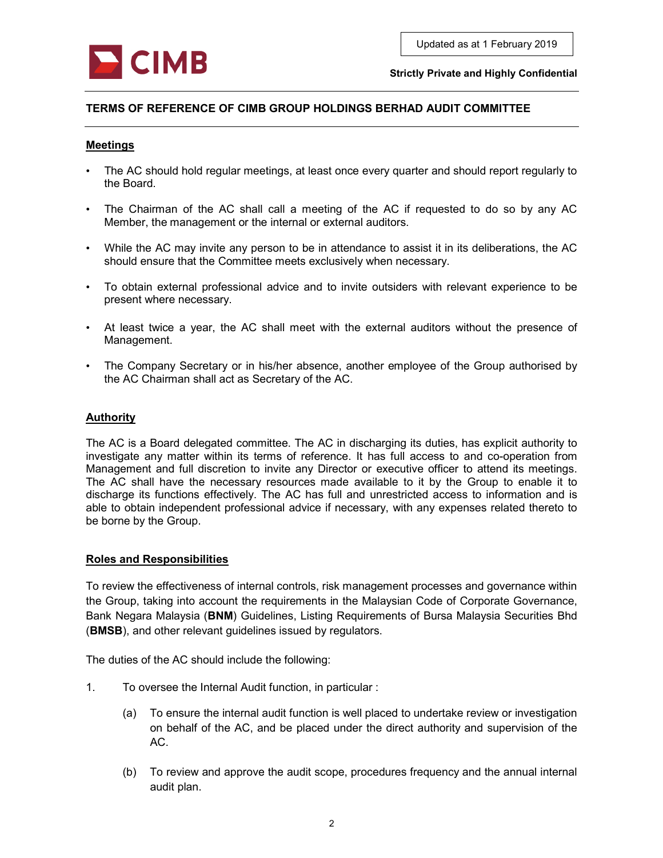

# TERMS OF REFERENCE OF CIMB GROUP HOLDINGS BERHAD AUDIT COMMITTEE

#### **Meetings**

- The AC should hold regular meetings, at least once every quarter and should report regularly to the Board.
- The Chairman of the AC shall call a meeting of the AC if requested to do so by any AC Member, the management or the internal or external auditors.
- While the AC may invite any person to be in attendance to assist it in its deliberations, the AC should ensure that the Committee meets exclusively when necessary.
- To obtain external professional advice and to invite outsiders with relevant experience to be present where necessary.
- At least twice a year, the AC shall meet with the external auditors without the presence of Management.
- The Company Secretary or in his/her absence, another employee of the Group authorised by the AC Chairman shall act as Secretary of the AC.

### Authority

The AC is a Board delegated committee. The AC in discharging its duties, has explicit authority to investigate any matter within its terms of reference. It has full access to and co-operation from Management and full discretion to invite any Director or executive officer to attend its meetings. The AC shall have the necessary resources made available to it by the Group to enable it to discharge its functions effectively. The AC has full and unrestricted access to information and is able to obtain independent professional advice if necessary, with any expenses related thereto to be borne by the Group.

#### Roles and Responsibilities

To review the effectiveness of internal controls, risk management processes and governance within the Group, taking into account the requirements in the Malaysian Code of Corporate Governance, Bank Negara Malaysia (BNM) Guidelines, Listing Requirements of Bursa Malaysia Securities Bhd (BMSB), and other relevant guidelines issued by regulators.

The duties of the AC should include the following:

- 1. To oversee the Internal Audit function, in particular :
	- (a) To ensure the internal audit function is well placed to undertake review or investigation on behalf of the AC, and be placed under the direct authority and supervision of the AC.
	- (b) To review and approve the audit scope, procedures frequency and the annual internal audit plan.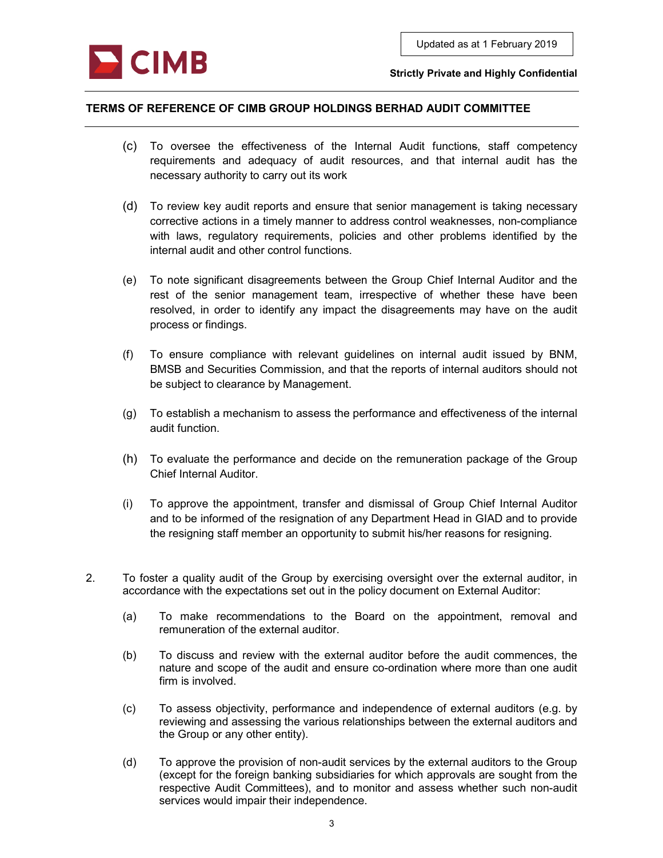

## TERMS OF REFERENCE OF CIMB GROUP HOLDINGS BERHAD AUDIT COMMITTEE

- (c) To oversee the effectiveness of the Internal Audit functions, staff competency requirements and adequacy of audit resources, and that internal audit has the necessary authority to carry out its work
- (d) To review key audit reports and ensure that senior management is taking necessary corrective actions in a timely manner to address control weaknesses, non-compliance with laws, regulatory requirements, policies and other problems identified by the internal audit and other control functions.
- (e) To note significant disagreements between the Group Chief Internal Auditor and the rest of the senior management team, irrespective of whether these have been resolved, in order to identify any impact the disagreements may have on the audit process or findings.
- (f) To ensure compliance with relevant guidelines on internal audit issued by BNM, BMSB and Securities Commission, and that the reports of internal auditors should not be subject to clearance by Management.
- (g) To establish a mechanism to assess the performance and effectiveness of the internal audit function.
- (h) To evaluate the performance and decide on the remuneration package of the Group Chief Internal Auditor.
- (i) To approve the appointment, transfer and dismissal of Group Chief Internal Auditor and to be informed of the resignation of any Department Head in GIAD and to provide the resigning staff member an opportunity to submit his/her reasons for resigning.
- 2. To foster a quality audit of the Group by exercising oversight over the external auditor, in accordance with the expectations set out in the policy document on External Auditor:
	- (a) To make recommendations to the Board on the appointment, removal and remuneration of the external auditor.
	- (b) To discuss and review with the external auditor before the audit commences, the nature and scope of the audit and ensure co-ordination where more than one audit firm is involved.
	- (c) To assess objectivity, performance and independence of external auditors (e.g. by reviewing and assessing the various relationships between the external auditors and the Group or any other entity).
	- (d) To approve the provision of non-audit services by the external auditors to the Group (except for the foreign banking subsidiaries for which approvals are sought from the respective Audit Committees), and to monitor and assess whether such non-audit services would impair their independence.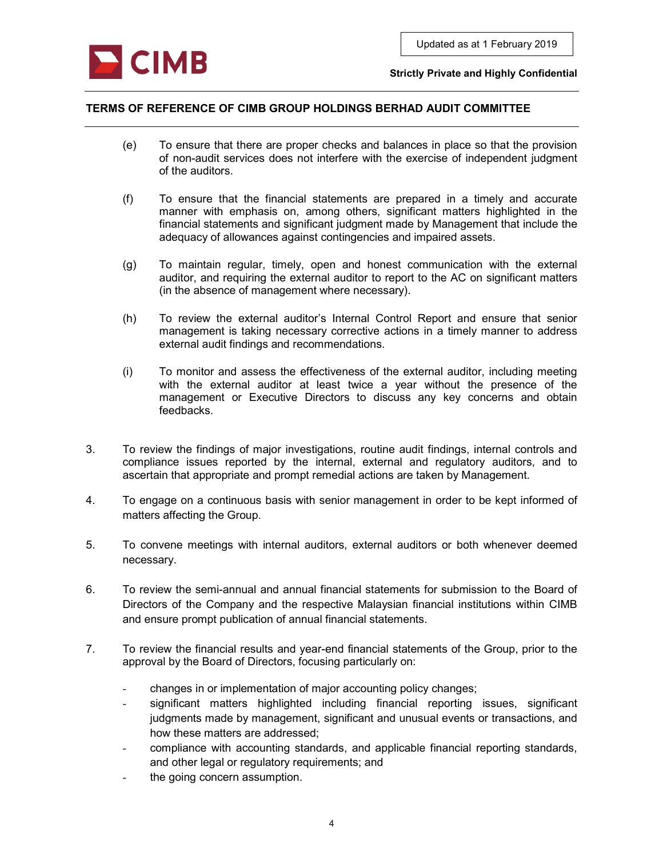

## TERMS OF REFERENCE OF CIMB GROUP HOLDINGS BERHAD AUDIT COMMITTEE

- (e) To ensure that there are proper checks and balances in place so that the provision of non-audit services does not interfere with the exercise of independent judgment of the auditors.
- (f) To ensure that the financial statements are prepared in a timely and accurate manner with emphasis on, among others, significant matters highlighted in the financial statements and significant judgment made by Management that include the adequacy of allowances against contingencies and impaired assets.
- (g) To maintain regular, timely, open and honest communication with the external auditor, and requiring the external auditor to report to the AC on significant matters (in the absence of management where necessary).
- (h) To review the external auditor's Internal Control Report and ensure that senior management is taking necessary corrective actions in a timely manner to address external audit findings and recommendations.
- (i) To monitor and assess the effectiveness of the external auditor, including meeting with the external auditor at least twice a year without the presence of the management or Executive Directors to discuss any key concerns and obtain feedbacks.
- 3. To review the findings of major investigations, routine audit findings, internal controls and compliance issues reported by the internal, external and regulatory auditors, and to ascertain that appropriate and prompt remedial actions are taken by Management.
- 4. To engage on a continuous basis with senior management in order to be kept informed of matters affecting the Group.
- 5. To convene meetings with internal auditors, external auditors or both whenever deemed necessary.
- 6. To review the semi-annual and annual financial statements for submission to the Board of Directors of the Company and the respective Malaysian financial institutions within CIMB and ensure prompt publication of annual financial statements.
- 7. To review the financial results and year-end financial statements of the Group, prior to the approval by the Board of Directors, focusing particularly on:
	- changes in or implementation of major accounting policy changes;
	- significant matters highlighted including financial reporting issues, significant judgments made by management, significant and unusual events or transactions, and how these matters are addressed;
	- compliance with accounting standards, and applicable financial reporting standards, and other legal or regulatory requirements; and
	- the going concern assumption.